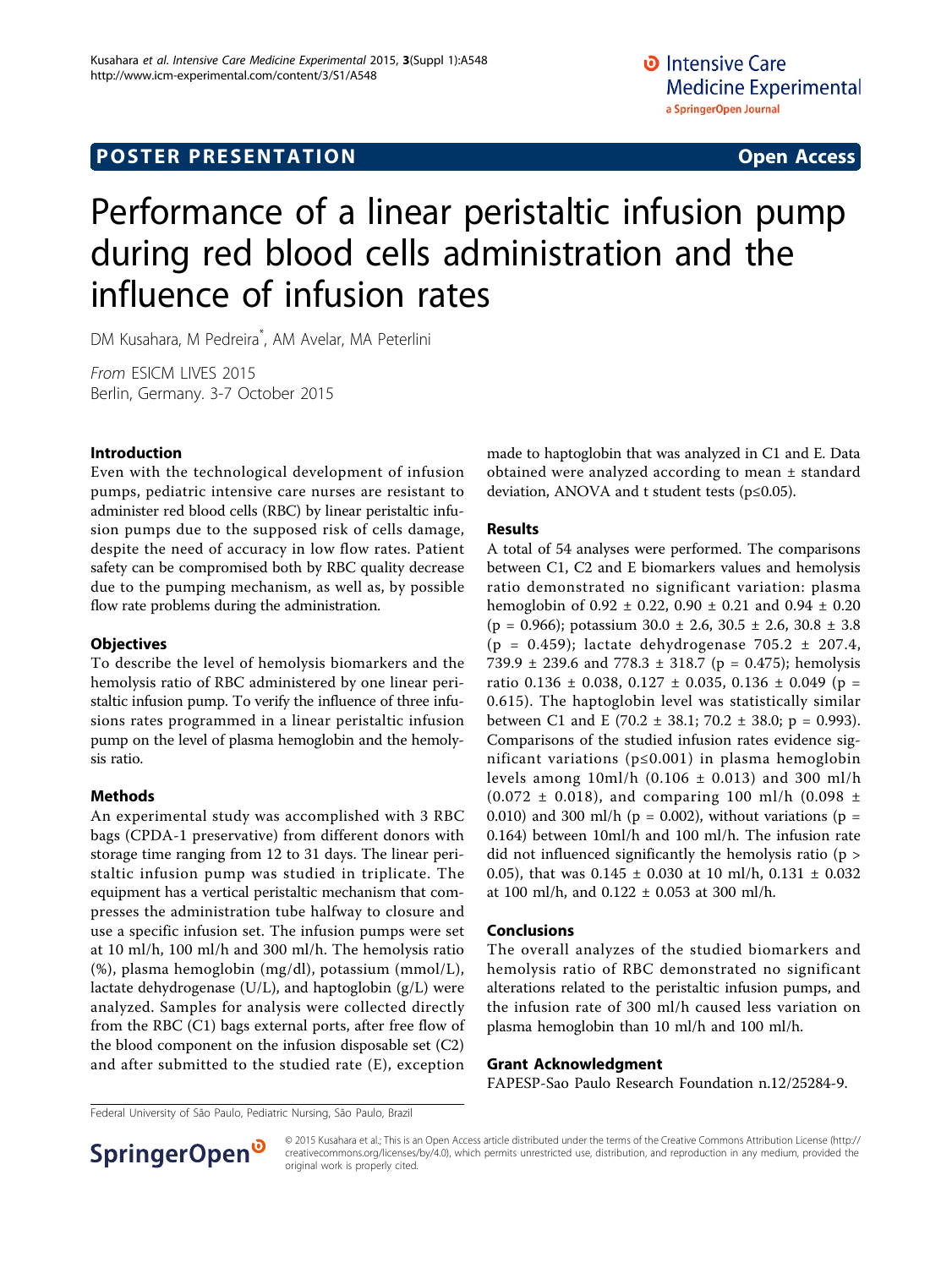# Performance of a linear peristaltic infusion pump during red blood cells administration and the influence of infusion rates

DM Kusahara, M Pedreira\* , AM Avelar, MA Peterlini

From ESICM LIVES 2015 Berlin, Germany. 3-7 October 2015

# Introduction

Even with the technological development of infusion pumps, pediatric intensive care nurses are resistant to administer red blood cells (RBC) by linear peristaltic infusion pumps due to the supposed risk of cells damage, despite the need of accuracy in low flow rates. Patient safety can be compromised both by RBC quality decrease due to the pumping mechanism, as well as, by possible flow rate problems during the administration.

#### **Objectives**

To describe the level of hemolysis biomarkers and the hemolysis ratio of RBC administered by one linear peristaltic infusion pump. To verify the influence of three infusions rates programmed in a linear peristaltic infusion pump on the level of plasma hemoglobin and the hemolysis ratio.

# Methods

An experimental study was accomplished with 3 RBC bags (CPDA-1 preservative) from different donors with storage time ranging from 12 to 31 days. The linear peristaltic infusion pump was studied in triplicate. The equipment has a vertical peristaltic mechanism that compresses the administration tube halfway to closure and use a specific infusion set. The infusion pumps were set at 10 ml/h, 100 ml/h and 300 ml/h. The hemolysis ratio (%), plasma hemoglobin (mg/dl), potassium (mmol/L), lactate dehydrogenase (U/L), and haptoglobin (g/L) were analyzed. Samples for analysis were collected directly from the RBC (C1) bags external ports, after free flow of the blood component on the infusion disposable set (C2) and after submitted to the studied rate (E), exception

made to haptoglobin that was analyzed in C1 and E. Data obtained were analyzed according to mean ± standard deviation, ANOVA and t student tests (p≤0.05).

# Results

A total of 54 analyses were performed. The comparisons between C1, C2 and E biomarkers values and hemolysis ratio demonstrated no significant variation: plasma hemoglobin of 0.92 ± 0.22, 0.90 ± 0.21 and 0.94 ± 0.20  $(p = 0.966)$ ; potassium  $30.0 \pm 2.6$ ,  $30.5 \pm 2.6$ ,  $30.8 \pm 3.8$ (p = 0.459); lactate dehydrogenase  $705.2 \pm 207.4$ , 739.9  $\pm$  239.6 and 778.3  $\pm$  318.7 (p = 0.475); hemolysis ratio 0.136  $\pm$  0.038, 0.127  $\pm$  0.035, 0.136  $\pm$  0.049 (p = 0.615). The haptoglobin level was statistically similar between C1 and E (70.2  $\pm$  38.1; 70.2  $\pm$  38.0; p = 0.993). Comparisons of the studied infusion rates evidence significant variations (p≤0.001) in plasma hemoglobin levels among  $10ml/h$  (0.106  $\pm$  0.013) and 300 ml/h  $(0.072 \pm 0.018)$ , and comparing 100 ml/h  $(0.098 \pm 0.018)$ 0.010) and 300 ml/h ( $p = 0.002$ ), without variations ( $p =$ 0.164) between 10ml/h and 100 ml/h. The infusion rate did not influenced significantly the hemolysis ratio (p > 0.05), that was  $0.145 \pm 0.030$  at 10 ml/h,  $0.131 \pm 0.032$ at 100 ml/h, and  $0.122 \pm 0.053$  at 300 ml/h.

#### Conclusions

The overall analyzes of the studied biomarkers and hemolysis ratio of RBC demonstrated no significant alterations related to the peristaltic infusion pumps, and the infusion rate of 300 ml/h caused less variation on plasma hemoglobin than 10 ml/h and 100 ml/h.

#### Grant Acknowledgment

FAPESP-Sao Paulo Research Foundation n.12/25284-9.

Federal University of São Paulo, Pediatric Nursing, São Paulo, Brazil



© 2015 Kusahara et al.; This is an Open Access article distributed under the terms of the Creative Commons Attribution License [\(http://](http://creativecommons.org/licenses/by/4.0) [creativecommons.org/licenses/by/4.0](http://creativecommons.org/licenses/by/4.0)), which permits unrestricted use, distribution, and reproduction in any medium, provided the original work is properly cited.